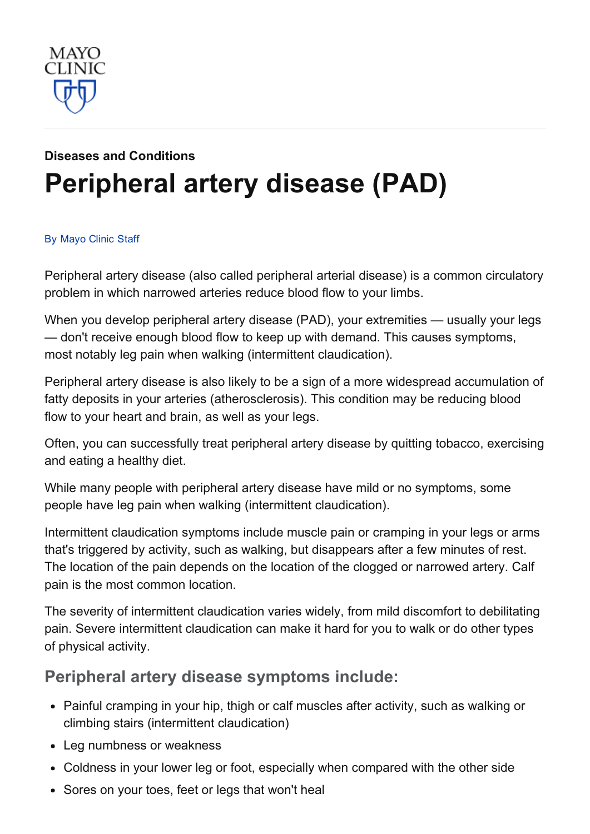

# Diseases and [Conditions](http://www.mayoclinic.org/diseases-conditions) [Peripheral](http://www.mayoclinic.org/diseases-conditions/peripheral-artery-disease/basics/definition/con-20028731) artery disease (PAD)

#### By [Mayo](http://www.mayoclinic.org/about-this-site/welcome) Clinic Staff

Peripheral artery disease (also called peripheral arterial disease) is a common circulatory problem in which narrowed arteries reduce blood flow to your limbs.

When you develop peripheral artery disease (PAD), your extremities — usually your legs — don't receive enough blood flow to keep up with demand. This causes symptoms, most notably leg pain when walking (intermittent claudication).

Peripheral artery disease is also likely to be a sign of a more widespread accumulation of fatty deposits in your arteries (atherosclerosis). This condition may be reducing blood flow to your heart and brain, as well as your legs.

Often, you can successfully treat peripheral artery disease by quitting tobacco, exercising and eating a healthy diet.

While many people with peripheral artery disease have mild or no symptoms, some people have leg pain when walking (intermittent claudication).

Intermittent claudication symptoms include muscle pain or cramping in your legs or arms that's triggered by activity, such as walking, but disappears after a few minutes of rest. The location of the pain depends on the location of the clogged or narrowed artery. Calf pain is the most common location.

The severity of intermittent claudication varies widely, from mild discomfort to debilitating pain. Severe intermittent claudication can make it hard for you to walk or do other types of physical activity.

#### Peripheral artery disease symptoms include:

- Painful cramping in your hip, thigh or calf muscles after activity, such as walking or climbing stairs (intermittent claudication)
- Leg numbness or weakness
- Coldness in your lower leg or foot, especially when compared with the other side
- Sores on your toes, feet or legs that won't heal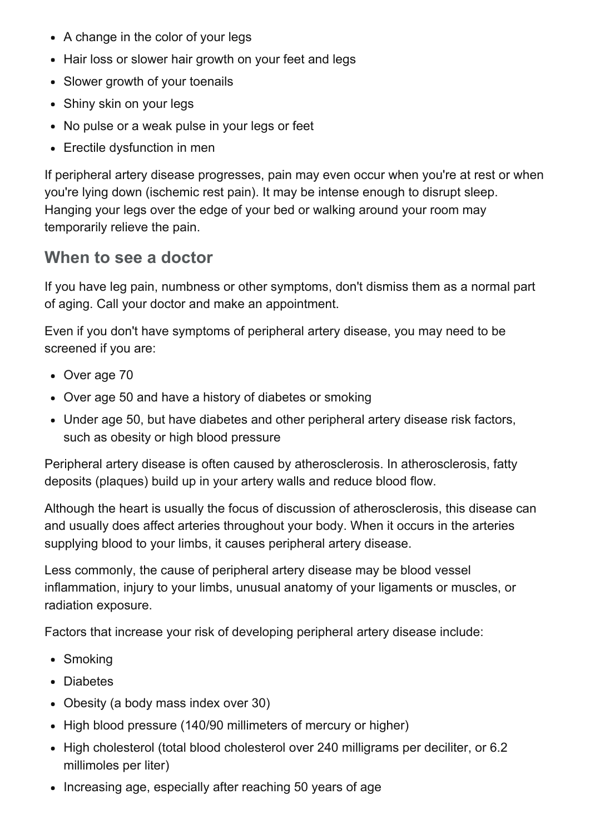- A change in the color of your legs
- Hair loss or slower hair growth on your feet and legs
- Slower growth of your toenails
- Shiny skin on your legs
- No pulse or a weak pulse in your legs or feet
- Erectile dysfunction in men

If peripheral artery disease progresses, pain may even occur when you're at rest or when you're lying down (ischemic rest pain). It may be intense enough to disrupt sleep. Hanging your legs over the edge of your bed or walking around your room may temporarily relieve the pain.

#### When to see a doctor

If you have leg pain, numbness or other symptoms, don't dismiss them as a normal part of aging. Call your doctor and make an appointment.

Even if you don't have symptoms of peripheral artery disease, you may need to be screened if you are:

- Over age 70
- Over age 50 and have a history of diabetes or smoking
- Under age 50, but have diabetes and other peripheral artery disease risk factors, such as obesity or high blood pressure

Peripheral artery disease is often caused by atherosclerosis. In atherosclerosis, fatty deposits (plaques) build up in your artery walls and reduce blood flow.

Although the heart is usually the focus of discussion of atherosclerosis, this disease can and usually does affect arteries throughout your body. When it occurs in the arteries supplying blood to your limbs, it causes peripheral artery disease.

Less commonly, the cause of peripheral artery disease may be blood vessel inflammation, injury to your limbs, unusual anatomy of your ligaments or muscles, or radiation exposure.

Factors that increase your risk of developing peripheral artery disease include:

- Smoking
- Diabetes
- Obesity (a body mass index over 30)
- High blood pressure (140/90 millimeters of mercury or higher)
- High cholesterol (total blood cholesterol over 240 milligrams per deciliter, or 6.2 millimoles per liter)
- Increasing age, especially after reaching 50 years of age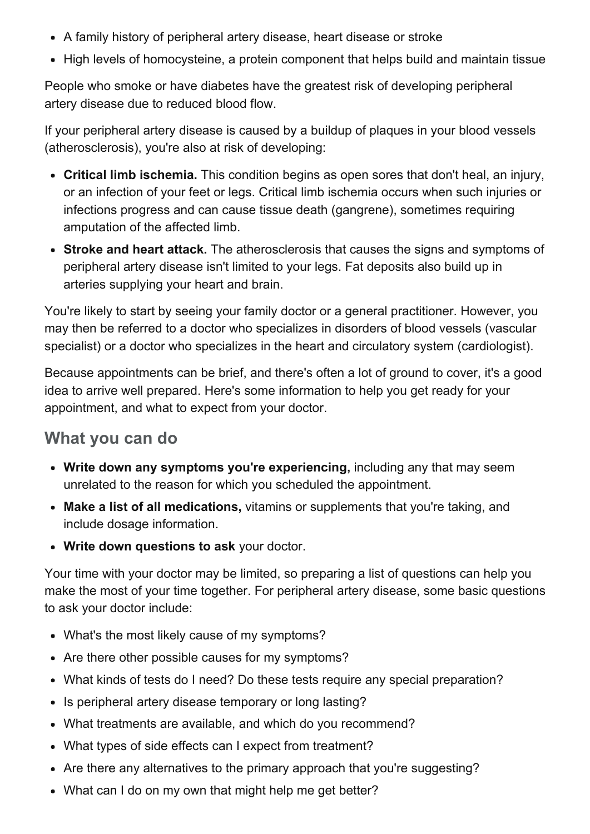- A family history of peripheral artery disease, heart disease or stroke
- High levels of homocysteine, a protein component that helps build and maintain tissue

People who smoke or have diabetes have the greatest risk of developing peripheral artery disease due to reduced blood flow.

If your peripheral artery disease is caused by a buildup of plaques in your blood vessels (atherosclerosis), you're also at risk of developing:

- Critical limb ischemia. This condition begins as open sores that don't heal, an injury, or an infection of your feet or legs. Critical limb ischemia occurs when such injuries or infections progress and can cause tissue death (gangrene), sometimes requiring amputation of the affected limb.
- Stroke and heart attack. The atherosclerosis that causes the signs and symptoms of peripheral artery disease isn't limited to your legs. Fat deposits also build up in arteries supplying your heart and brain.

You're likely to start by seeing your family doctor or a general practitioner. However, you may then be referred to a doctor who specializes in disorders of blood vessels (vascular specialist) or a doctor who specializes in the heart and circulatory system (cardiologist).

Because appointments can be brief, and there's often a lot of ground to cover, it's a good idea to arrive well prepared. Here's some information to help you get ready for your appointment, and what to expect from your doctor.

### What you can do

- Write down any symptoms you're experiencing, including any that may seem unrelated to the reason for which you scheduled the appointment.
- Make a list of all medications, vitamins or supplements that you're taking, and include dosage information.
- Write down questions to ask your doctor.

Your time with your doctor may be limited, so preparing a list of questions can help you make the most of your time together. For peripheral artery disease, some basic questions to ask your doctor include:

- What's the most likely cause of my symptoms?
- Are there other possible causes for my symptoms?
- What kinds of tests do I need? Do these tests require any special preparation?
- Is peripheral artery disease temporary or long lasting?
- What treatments are available, and which do you recommend?
- What types of side effects can I expect from treatment?
- Are there any alternatives to the primary approach that you're suggesting?
- What can I do on my own that might help me get better?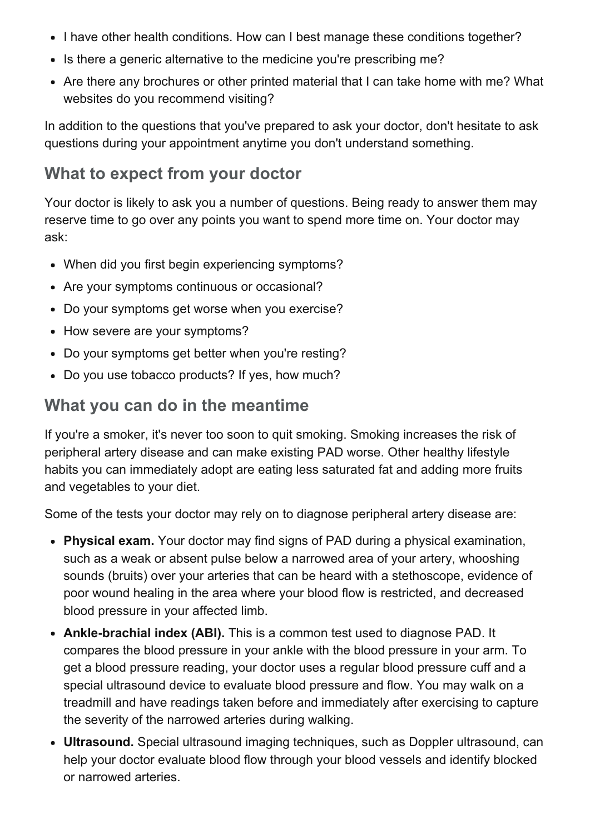- I have other health conditions. How can I best manage these conditions together?
- Is there a generic alternative to the medicine you're prescribing me?
- Are there any brochures or other printed material that I can take home with me? What websites do you recommend visiting?

In addition to the questions that you've prepared to ask your doctor, don't hesitate to ask questions during your appointment anytime you don't understand something.

### What to expect from your doctor

Your doctor is likely to ask you a number of questions. Being ready to answer them may reserve time to go over any points you want to spend more time on. Your doctor may ask:

- When did you first begin experiencing symptoms?
- Are your symptoms continuous or occasional?
- Do your symptoms get worse when you exercise?
- How severe are your symptoms?
- Do your symptoms get better when you're resting?
- Do you use tobacco products? If yes, how much?

#### What you can do in the meantime

If you're a smoker, it's never too soon to quit smoking. Smoking increases the risk of peripheral artery disease and can make existing PAD worse. Other healthy lifestyle habits you can immediately adopt are eating less saturated fat and adding more fruits and vegetables to your diet.

Some of the tests your doctor may rely on to diagnose peripheral artery disease are:

- Physical exam. Your doctor may find signs of PAD during a physical examination, such as a weak or absent pulse below a narrowed area of your artery, whooshing sounds (bruits) over your arteries that can be heard with a stethoscope, evidence of poor wound healing in the area where your blood flow is restricted, and decreased blood pressure in your affected limb.
- Ankle-brachial index (ABI). This is a common test used to diagnose PAD. It compares the blood pressure in your ankle with the blood pressure in your arm. To get a blood pressure reading, your doctor uses a regular blood pressure cuff and a special ultrasound device to evaluate blood pressure and flow. You may walk on a treadmill and have readings taken before and immediately after exercising to capture the severity of the narrowed arteries during walking.
- Ultrasound. Special ultrasound imaging techniques, such as Doppler ultrasound, can help your doctor evaluate blood flow through your blood vessels and identify blocked or narrowed arteries.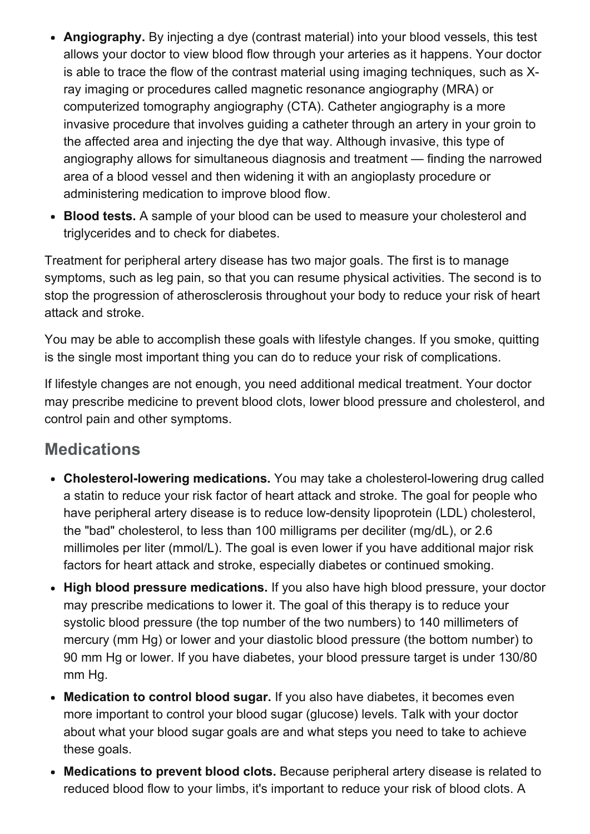- Angiography. By injecting a dye (contrast material) into your blood vessels, this test allows your doctor to view blood flow through your arteries as it happens. Your doctor is able to trace the flow of the contrast material using imaging techniques, such as Xray imaging or procedures called magnetic resonance angiography (MRA) or computerized tomography angiography (CTA). Catheter angiography is a more invasive procedure that involves guiding a catheter through an artery in your groin to the affected area and injecting the dye that way. Although invasive, this type of angiography allows for simultaneous diagnosis and treatment — finding the narrowed area of a blood vessel and then widening it with an angioplasty procedure or administering medication to improve blood flow.
- Blood tests. A sample of your blood can be used to measure your cholesterol and triglycerides and to check for diabetes.

Treatment for peripheral artery disease has two major goals. The first is to manage symptoms, such as leg pain, so that you can resume physical activities. The second is to stop the progression of atherosclerosis throughout your body to reduce your risk of heart attack and stroke.

You may be able to accomplish these goals with lifestyle changes. If you smoke, quitting is the single most important thing you can do to reduce your risk of complications.

If lifestyle changes are not enough, you need additional medical treatment. Your doctor may prescribe medicine to prevent blood clots, lower blood pressure and cholesterol, and control pain and other symptoms.

### **Medications**

- Cholesterol-lowering medications. You may take a cholesterol-lowering drug called a statin to reduce your risk factor of heart attack and stroke. The goal for people who have peripheral artery disease is to reduce low-density lipoprotein (LDL) cholesterol, the "bad" cholesterol, to less than 100 milligrams per deciliter (mg/dL), or 2.6 millimoles per liter (mmol/L). The goal is even lower if you have additional major risk factors for heart attack and stroke, especially diabetes or continued smoking.
- High blood pressure medications. If you also have high blood pressure, your doctor may prescribe medications to lower it. The goal of this therapy is to reduce your systolic blood pressure (the top number of the two numbers) to 140 millimeters of mercury (mm Hg) or lower and your diastolic blood pressure (the bottom number) to 90 mm Hg or lower. If you have diabetes, your blood pressure target is under 130/80 mm Hg.
- Medication to control blood sugar. If you also have diabetes, it becomes even more important to control your blood sugar (glucose) levels. Talk with your doctor about what your blood sugar goals are and what steps you need to take to achieve these goals.
- Medications to prevent blood clots. Because peripheral artery disease is related to reduced blood flow to your limbs, it's important to reduce your risk of blood clots. A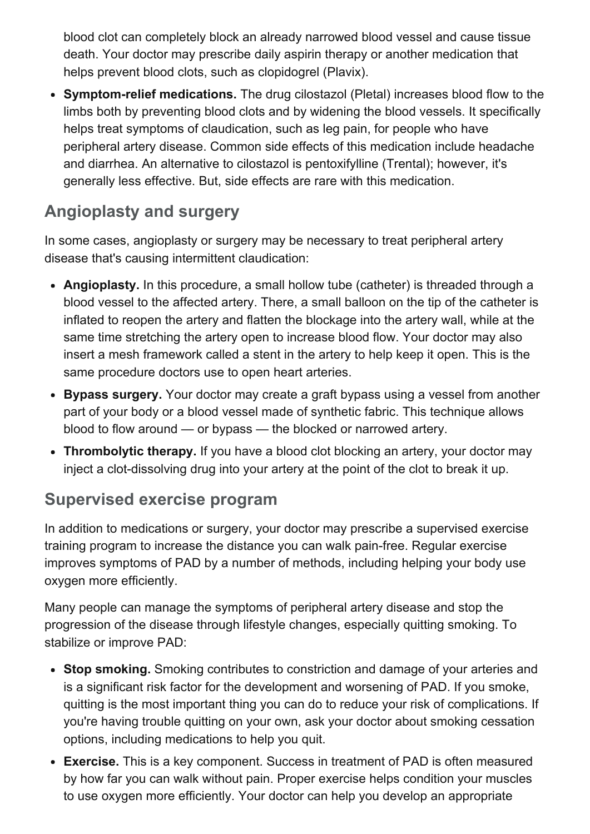blood clot can completely block an already narrowed blood vessel and cause tissue death. Your doctor may prescribe daily aspirin therapy or another medication that helps prevent blood clots, such as clopidogrel (Plavix).

• Symptom-relief medications. The drug cilostazol (Pletal) increases blood flow to the limbs both by preventing blood clots and by widening the blood vessels. It specifically helps treat symptoms of claudication, such as leg pain, for people who have peripheral artery disease. Common side effects of this medication include headache and diarrhea. An alternative to cilostazol is pentoxifylline (Trental); however, it's generally less effective. But, side effects are rare with this medication.

# Angioplasty and surgery

In some cases, angioplasty or surgery may be necessary to treat peripheral artery disease that's causing intermittent claudication:

- Angioplasty. In this procedure, a small hollow tube (catheter) is threaded through a blood vessel to the affected artery. There, a small balloon on the tip of the catheter is inflated to reopen the artery and flatten the blockage into the artery wall, while at the same time stretching the artery open to increase blood flow. Your doctor may also insert a mesh framework called a stent in the artery to help keep it open. This is the same procedure doctors use to open heart arteries.
- Bypass surgery. Your doctor may create a graft bypass using a vessel from another part of your body or a blood vessel made of synthetic fabric. This technique allows blood to flow around — or bypass — the blocked or narrowed artery.
- Thrombolytic therapy. If you have a blood clot blocking an artery, your doctor may inject a clot-dissolving drug into your artery at the point of the clot to break it up.

# Supervised exercise program

In addition to medications or surgery, your doctor may prescribe a supervised exercise training program to increase the distance you can walk pain-free. Regular exercise improves symptoms of PAD by a number of methods, including helping your body use oxygen more efficiently.

Many people can manage the symptoms of peripheral artery disease and stop the progression of the disease through lifestyle changes, especially quitting smoking. To stabilize or improve PAD:

- Stop smoking. Smoking contributes to constriction and damage of your arteries and is a significant risk factor for the development and worsening of PAD. If you smoke, quitting is the most important thing you can do to reduce your risk of complications. If you're having trouble quitting on your own, ask your doctor about smoking cessation options, including medications to help you quit.
- Exercise. This is a key component. Success in treatment of PAD is often measured by how far you can walk without pain. Proper exercise helps condition your muscles to use oxygen more efficiently. Your doctor can help you develop an appropriate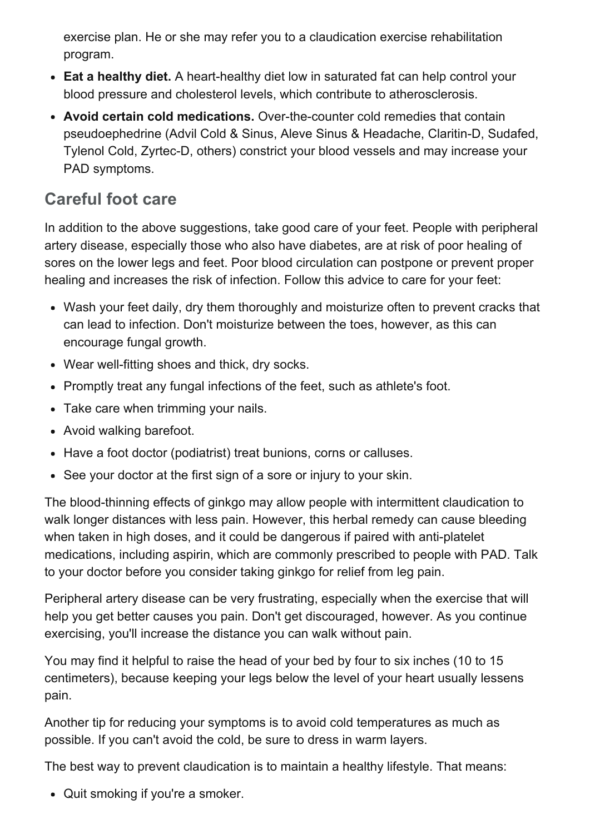exercise plan. He or she may refer you to a claudication exercise rehabilitation program.

- Eat a healthy diet. A heart-healthy diet low in saturated fat can help control your blood pressure and cholesterol levels, which contribute to atherosclerosis.
- Avoid certain cold medications. Over-the-counter cold remedies that contain pseudoephedrine (Advil Cold & Sinus, Aleve Sinus & Headache, Claritin-D, Sudafed, Tylenol Cold, Zyrtec-D, others) constrict your blood vessels and may increase your PAD symptoms.

## Careful foot care

In addition to the above suggestions, take good care of your feet. People with peripheral artery disease, especially those who also have diabetes, are at risk of poor healing of sores on the lower legs and feet. Poor blood circulation can postpone or prevent proper healing and increases the risk of infection. Follow this advice to care for your feet:

- Wash your feet daily, dry them thoroughly and moisturize often to prevent cracks that can lead to infection. Don't moisturize between the toes, however, as this can encourage fungal growth.
- Wear well-fitting shoes and thick, dry socks.
- Promptly treat any fungal infections of the feet, such as athlete's foot.
- Take care when trimming your nails.
- Avoid walking barefoot.
- Have a foot doctor (podiatrist) treat bunions, corns or calluses.
- See your doctor at the first sign of a sore or injury to your skin.

The blood-thinning effects of ginkgo may allow people with intermittent claudication to walk longer distances with less pain. However, this herbal remedy can cause bleeding when taken in high doses, and it could be dangerous if paired with anti-platelet medications, including aspirin, which are commonly prescribed to people with PAD. Talk to your doctor before you consider taking ginkgo for relief from leg pain.

Peripheral artery disease can be very frustrating, especially when the exercise that will help you get better causes you pain. Don't get discouraged, however. As you continue exercising, you'll increase the distance you can walk without pain.

You may find it helpful to raise the head of your bed by four to six inches (10 to 15 centimeters), because keeping your legs below the level of your heart usually lessens pain.

Another tip for reducing your symptoms is to avoid cold temperatures as much as possible. If you can't avoid the cold, be sure to dress in warm layers.

The best way to prevent claudication is to maintain a healthy lifestyle. That means:

• Quit smoking if you're a smoker.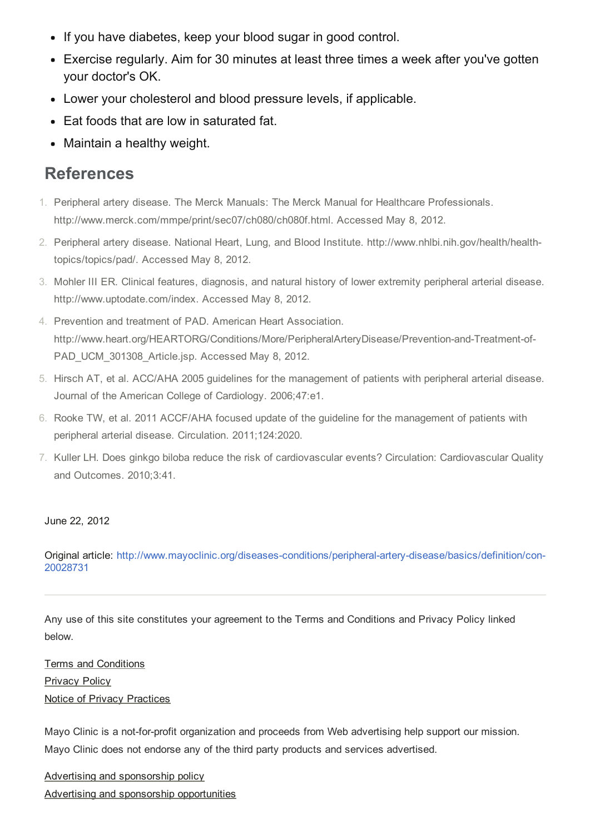- If you have diabetes, keep your blood sugar in good control.
- Exercise regularly. Aim for 30 minutes at least three times a week after you've gotten your doctor's OK.
- Lower your cholesterol and blood pressure levels, if applicable.
- Eat foods that are low in saturated fat.
- Maintain a healthy weight.

#### References

- 1. Peripheral artery disease. The Merck Manuals: The Merck Manual for Healthcare Professionals. http://www.merck.com/mmpe/print/sec07/ch080/ch080f.html. Accessed May 8, 2012.
- 2. Peripheral artery disease. National Heart, Lung, and Blood Institute. http://www.nhlbi.nih.gov/health/healthtopics/topics/pad/. Accessed May 8, 2012.
- 3. Mohler III ER. Clinical features, diagnosis, and natural history of lower extremity peripheral arterial disease. http://www.uptodate.com/index. Accessed May 8, 2012.
- 4. Prevention and treatment of PAD. American Heart Association. http://www.heart.org/HEARTORG/Conditions/More/PeripheralArteryDisease/Prevention-and-Treatment-of-PAD\_UCM\_301308\_Article.jsp. Accessed May 8, 2012.
- 5. Hirsch AT, et al. ACC/AHA 2005 guidelines for the management of patients with peripheral arterial disease. Journal of the American College of Cardiology. 2006;47:e1.
- 6. Rooke TW, et al. 2011 ACCF/AHA focused update of the guideline for the management of patients with peripheral arterial disease. Circulation. 2011;124:2020.
- 7. Kuller LH. Does ginkgo biloba reduce the risk of cardiovascular events? Circulation: Cardiovascular Quality and Outcomes. 2010;3:41.

#### June 22, 2012

Original article: http://www.mayoclinic.org/diseases-conditions/peripheral-artery-disease/basics/definition/con-20028731

Any use of this site constitutes your agreement to the Terms and Conditions and Privacy Policy linked below.

Terms and [Conditions](http://www.mayoclinic.org/about-this-site/terms-conditions-use-policy) **[Privacy](http://www.mayoclinic.org/about-this-site/privacy-policy) Policy** Notice of Privacy [Practices](http://www.mayoclinic.org/about-mayo-clinic/notice-of-privacy-practices)

Mayo Clinic is a not-for-profit organization and proceeds from Web advertising help support our mission. Mayo Clinic does not endorse any of the third party products and services advertised.

Advertising and [sponsorship](http://www.mayoclinic.org/about-this-site/advertising-sponsorship-policy) policy Advertising and sponsorship [opportunities](http://www.mayoclinic.org/about-this-site/advertising-sponsorship)